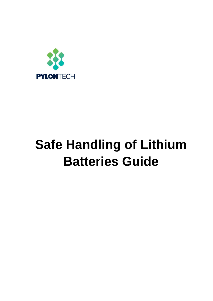

# **Safe Handling of Lithium Batteries Guide**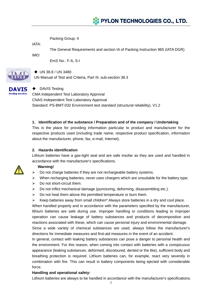# **XX PYLON TECHNOLOGIES CO., LTD.**

Packing Group: II

IATA:

The General Requirements and section IA of Packing Instruction 965 (IATA DGR)

IMO:

EmS No.: F-A, S-I



#### ◆ UN 38.8 / UN 3480

UN Manual of Test and Criteria, Part III, sub-section 38.3



# ◆ DAVIS Testing

CMA Independent Test Laboratory Approval CNAS Independent Test Laboratory Approval Standard: PS-BMT-032 Environment test standard (structural reliability), V1.2

# **1. Identification of the substance / Preparation and of the company / Undertaking**

This is the place for providing information particular to product and manufacturer for the respective products used (including trade name, respective product specification, information about the manufacturer, phone, fax, e-mail, Internet).

# **2. Hazards identification**

Lithium batteries have a gas-tight seal and are safe insofar as they are used and handled in accordance with the manufacturer's specifications.

#### **Warning!**

- $\triangleright$  Do not charge batteries if they are not rechargeable battery systems.
- $\triangleright$  When recharging batteries, never uses chargers which are unsuitable for the battery type.
- $\triangleright$  Do not short-circuit them.
- $\triangleright$  Do not inflict mechanical damage (puncturing, deforming, disassembling etc.).
- $\triangleright$  Do not heat them above the permitted temperature or burn them.
- $\triangleright$  Keep batteries away from small children\* Always store batteries in a dry and cool place.

When handled properly and in accordance with the parameters specified by the manufacturer, lithium batteries are safe during use. Improper handling or conditions leading to improper operation can cause leakage of battery substances and products of decomposition and reactions associated with these, which can cause personal injury and environmental damage.

Since a wide variety of chemical substances are used, always follow the manufacturer's directions for immediate measures and first-aid measures in the event of an accident.

In general, contact with leaking battery substances can pose a danger to personal health and the environment. For this reason, when coming into contact with batteries with a conspicuous appearance (leaking substances. deformed, discoloured, dented or the like), sufficient body and breathing protection is required. Lithium batteries can, for example, react very severely in combination with fire. This can result in battery components being ejected with considerable force.

#### **Handling and operational safety:**

Lithium batteries are always to be handled in accordance with the manufacturer's specifications.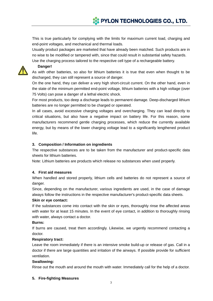This is true particularly for complying with the limits for maximum current load, charging and end-point voltages, and mechanical and thermal loads.

Usually product packages are marketed that have already been matched. Such products are in no wise to be modified or tampered with, since that could result in substantial safety hazards.

Use the charging process tailored to the respective cell type of a rechargeable battery.



# **Danger!**

As with other batteries, so also for lithium batteries it is true that even when thought to be discharged, they can still represent a source of danger.

On the one hand, they can deliver a very high short-circuit current. On the other hand, even in the state of the minimum permitted end-point voltage, lithium batteries with a high voltage (over 75 Volts) can pose a danger of a lethal electric shock.

For most products, too deep a discharge leads to permanent damage. Deep-discharged lithium batteries are no longer permitted to be charged or operated.

In all cases, avoid excessive charging voltages and overcharging. They can lead directly to critical situations, but also have a negative impact on battery life. For this reason, some manufacturers recommend gentle charging processes, which reduce the currently available energy, but by means of the lower charging voltage lead to a significantly lengthened product life.

# **3. Composition / Information on ingredients**

The respective substances are to be taken from the manufacturer and product-specific data sheets for lithium batteries.

Note: Lithium batteries are products which release no substances when used properly.

# **4. First aid measures**

When handled and stored properly, lithium cells and batteries do not represent a source of danger.

Since, depending on the manufacturer, various ingredients are used, in the case of damage always follow the instructions in the respective manufacturer's product-specific data sheets.

# **Skin or eye contact:**

If the substances come into contact with the skin or eyes, thoroughly rinse the affected areas with water for at least 15 minutes. In the event of eye contact, in addition to thoroughly rinsing with water, always contact a doctor.

# **Burns:**

If burns are caused, treat them accordingly. Likewise, we urgently recommend contacting a doctor.

# **Respiratory tract:**

Leave the room immediately if there is an intensive smoke build-up or release of gas. Call in a doctor if there are large quantities and irritation of the airways. If possible provide for sufficient ventilation.

# **Swallowing:**

Rinse out the mouth and around the mouth with water. Immediately call for the help of a doctor.

# **5. Fire-fighting Measures**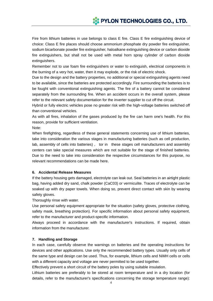Fire from lithium batteries in use belongs to class E fire. Class E fire extinguishing device of choice: Class E fire places should choose ammonium phosphate dry powder fire extinguisher, sodium bicarbonate powder fire extinguisher, haloalkane extinguishing device or carbon dioxide fire extinguishers, but shall not be used with metal horn spray cylinder of carbon dioxide extinguishers.

Remember not to use foam fire extinguishers or water to extinguish, electrical components in the burning of a very hot, water, then it may explode, or the risk of electric shock.

Due to the design and the battery properties, no additional or special extinguishing agents need to be available, since the batteries are protected accordingly. Fire surrounding the batteries is to be fought with conventional extinguishing agents. The fire of a battery cannot be considered separately from the surrounding fire. When an accident occurs in the overall system, please refer to the relevant safety documentation for the inverter supplier to cut off the circuit.

Hybrid or fully electric vehicles pose no greater risk with the high-voltage batteries switched off than conventional vehicles.

As with all fires, inhalation of the gases produced by the fire can harm one's health. For this reason, provide for sufficient ventilation.

Note:

When firefighting, regardless of these general statements concerning use of lithium batteries, take into consideration the various stages in manufacturing batteries (such as cell production, lab, assembly of cells into batteries) , tor in these stages cell manufacturers and assembly centers can take special measures which are not suitable for the stage of finished batteries. Due to the need to take into consideration the respective circumstances for this purpose, no relevant recommendations can be made here.

# **6. Accidental Release Measures**

If the battery housing gets damaged, electrolyte can leak out. Seal batteries in an airtight plastic bag, having added dry sand, chalk powder (CaC03) or vermiculite. Traces of electrolyte can be soaked up with dry paper towels. When doing so, prevent direct contact with skin by wearing safety gloves.

Thoroughly rinse with water.

Use personal safety equipment appropriate for the situation (safety gloves, protective clothing, safety mask, breathing protection). For specific information about personal safety equipment, refer to the manufacturer and product-specific information.

Always proceed in accordance with the manufacturer's instructions. If required, obtain information from the manufacturer.

#### **7. Handling and Storage**

In each case, carefully observe the warnings on batteries and the operating instructions for devices and other applications. Use only the recommended battery types. Usually only cells of the same type and design can be used. Thus, for example, lithium cells and NiMH cells or cells with a different capacity and voltage are never permitted to be used together.

Effectively prevent a short circuit of the battery poles by using suitable insulation.

Lithium batteries are preferably to be stored at room temperature and in a dry location (for details, refer to the manufacturer's specifications concerning the storage temperature range):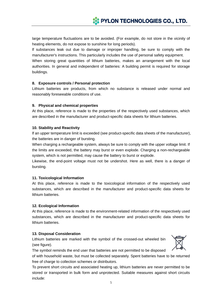large temperature fluctuations are to be avoided. (For example, do not store in the vicinity of heating elements, do not expose to sunshine for long periods).

lf substances leak out due to damage or improper handling, be sure to comply with the manufacturer's instructions. This particularly includes the use of personal safety equipment.

When storing great quantities of lithium batteries, makes an arrangement with the local authorities. In general and independent of batteries: A building permit is required for storage buildings.

# **8. Exposure controls / Personal protection**

Lithium batteries are products, from which no substance is released under normal and reasonably foreseeable conditions of use.

# **9. Physical and chemical properties**

At this place, reference is made to the properties of the respectively used substances, which are described in the manufacturer and product-specific data sheets for lithium batteries.

# **10. Stability and Reactivity**

lf an upper temperature limit is exceeded (see product-specific data sheets of the manufacturer), the batteries are in danger of bursting.

When charging a rechargeable system, always be sure to comply with the upper voltage limit. If the limits are exceeded, the battery may burst or even explode. Charging a non-rechargeable system, which is not permitted, may cause the battery to burst or explode.

Likewise, the end-point voltage must not be undershot. Here as well, there is a danger of bursting.

#### **11. Toxicological Information**

At this place, reference is made to the toxicological information of the respectively used substances, which are described in the manufacturer and product-specific data sheets for lithium batteries.

#### **12. Ecological Information**

At this place, reference is made to the environment-related information of the respectively used substances, which are described in the manufacturer and product-specific data sheets for lithium batteries.

#### **13. Disposal Consideration**

Lithium batteries are marked with the symbol of the crossed-out wheeled bin (see figure).



The symbol reminds the end user that batteries are not permitted to be disposed

of with household waste, but must be collected separately. Spent batteries have to be returned free of charge to collection schemes or distributors.

To prevent short circuits and associated heating up, lithium batteries are never permitted to be stored or transported in bulk form and unprotected. Suitable measures against short circuits include: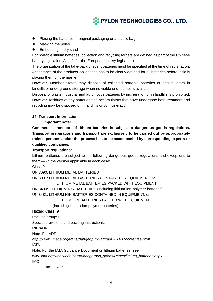- Placing the batteries in original packaging or a plastic bag
- Masking the poles
- **•** Embedding in dry sand

For portable lithium batteries, collection and recycling targets are defined as part of the Chinese battery legislation. Also fit for the European battery legislation.

The organization of the take-back of spent batteries must be specified at the time of registration. Acceptance of the producer obligations has to be clearly defined for all batteries before initially placing them on the market.

However, Member States may dispose of collected portable batteries or accumulators in landfills or underground storage when no viable end market is available.

Disposal of waste industrial and automotive batteries by incineration or in landfills is prohibited. However, residues of any batteries and accumulators that have undergone both treatment and recycling may be disposed of in landfills or by incineration.

#### **14. Transport Information**

#### **Important note!**

**Commercial transport of lithium batteries is subject to dangerous goods regulations. Transport preparations and transport are exclusively to be carried out by appropriately trained persons and/or the process has to be accompanied by corresponding experts or qualified companies.** 

#### **Transport regulations:**

Lithium batteries are subject to the following dangerous goods regulations and exceptions to them-----in the version applicable in each case:

Class 9

UN 3090: LITHIUM METAL BATTERIES

UN 3091: LITHIUM METAL BATTERIES CONTAINED IN EQUIPMENT, or

#### LITHIUM METAL BATTERIES PACKED WITH EQUIPMENT

UN 3480: LITHIUM ION BATTERIES (including lithium-ion-polymer batteries)

UN 3481: LITHIUM ION BATTERIES CONTAINED IN EQUIPMENT, or

LITHIUM ION BATTERIES PACKED WITH EQUIPMENT

(including lithium-ion-polymer batteries)

Hazard Class: 9

Packing group: II

Special provisions and packing instructions:

RID/ADR:

Note: For ADR, see

*http://www. unece.org/trans/danger/publi/adr/adr2011/11contentse.html*  IATA:

Note: For the IATA Guidance Document on lithium batteries, see

*www.iata.org/whatwedo/cargo/dangerous\_goods/Pages/lithium\_batteries.aspx*  IMO:

EmS: F-A, S-I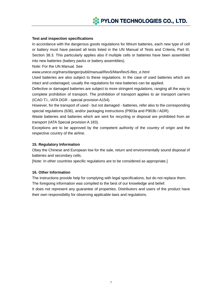# **Test and inspection specifications**

In accordance with the dangerous goods regulations for lithium batteries, each new type of cell or battery must have passed all tests listed in the UN Manual of Tests and Criteria, Part III, Section 38.3. This particularly applies also if multiple cells or batteries have been assembled into new batteries (battery packs or battery assemblies).

Note: For the UN Manual. See

*www.unece.org/trans/danger/publi/manual/Rev5/ManRev5-files\_e.html* 

Used batteries are also subject to these regulations. In the case of used batteries which are intact and undamaged, usually the regulations for new batteries can be applied.

Defective or damaged batteries are subject to more stringent regulations, ranging all the way to complete prohibition of transport. The prohibition of transport applies to air transport carriers (ICAO T.l., IATA DGR - special provision A154).

However, for the transport of used - but not damaged - batteries, refer also to the corresponding special regulations (636), and/or packaging instructions (P903a and P903b / ADR).

Waste batteries and batteries which are sent for recycling or disposal are prohibited from air transport (IATA Special provision A 183).

Exceptions are to be approved by the competent authority of the country of origin and the respective country of the airline.

#### **15. Regulatory Information**

Obey the Chinese and European low for the sale, return and environmentally sound disposal of batteries and secondary cells.

[Note: In other countries specific regulations are to be considered as appropriate.]

# **16. Other Information**

The instructions provide help for complying with legal specifications, but do not replace them. The foregoing information was compiled to the best of our knowledge and belief.

It does not represent any guarantee of properties. Distributors and users of the product have their own responsibility for observing applicable laws and regulations.